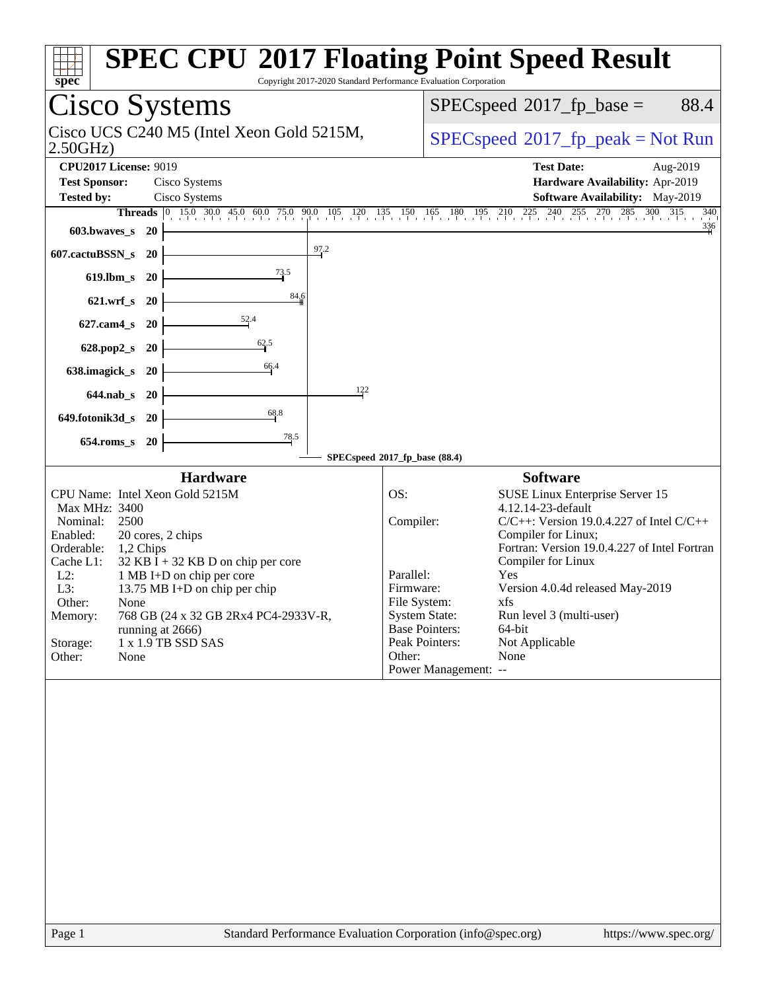| spec                                                                                                                                                                                                                                                                                                                                                                                                              | <b>SPEC CPU®2017 Floating Point Speed Result</b><br>Copyright 2017-2020 Standard Performance Evaluation Corporation                                                                                                                                                                                                                                                                                                                                                                      |
|-------------------------------------------------------------------------------------------------------------------------------------------------------------------------------------------------------------------------------------------------------------------------------------------------------------------------------------------------------------------------------------------------------------------|------------------------------------------------------------------------------------------------------------------------------------------------------------------------------------------------------------------------------------------------------------------------------------------------------------------------------------------------------------------------------------------------------------------------------------------------------------------------------------------|
| <b>Cisco Systems</b>                                                                                                                                                                                                                                                                                                                                                                                              | $SPEC speed^{\circ}2017\_fp\_base =$<br>88.4                                                                                                                                                                                                                                                                                                                                                                                                                                             |
| Cisco UCS C240 M5 (Intel Xeon Gold 5215M,<br>2.50GHz                                                                                                                                                                                                                                                                                                                                                              | $SPEC speed^{\circ}2017\_fp\_peak = Not Run$                                                                                                                                                                                                                                                                                                                                                                                                                                             |
| <b>CPU2017 License: 9019</b><br><b>Test Sponsor:</b><br>Cisco Systems                                                                                                                                                                                                                                                                                                                                             | <b>Test Date:</b><br>Aug-2019<br>Hardware Availability: Apr-2019                                                                                                                                                                                                                                                                                                                                                                                                                         |
| <b>Tested by:</b><br>Cisco Systems                                                                                                                                                                                                                                                                                                                                                                                | Software Availability: May-2019                                                                                                                                                                                                                                                                                                                                                                                                                                                          |
|                                                                                                                                                                                                                                                                                                                                                                                                                   | <b>Threads</b> 0 15.0 30.0 45.0 60.0 75.0 90.0 105 120 135 150 165 180 195 210 225 240 255 270 285 300 315<br>340                                                                                                                                                                                                                                                                                                                                                                        |
| $603.bwaves$ $20$                                                                                                                                                                                                                                                                                                                                                                                                 | $\frac{336}{4}$                                                                                                                                                                                                                                                                                                                                                                                                                                                                          |
| 97.2<br>607.cactuBSSN_s<br><b>20</b>                                                                                                                                                                                                                                                                                                                                                                              |                                                                                                                                                                                                                                                                                                                                                                                                                                                                                          |
| $\frac{73.5}{4}$<br>619.lbm_s 20                                                                                                                                                                                                                                                                                                                                                                                  |                                                                                                                                                                                                                                                                                                                                                                                                                                                                                          |
| 84.6<br>621.wrf_s 20                                                                                                                                                                                                                                                                                                                                                                                              |                                                                                                                                                                                                                                                                                                                                                                                                                                                                                          |
| $\frac{52.4}{ }$<br>$627$ .cam $4_s$<br><b>20</b>                                                                                                                                                                                                                                                                                                                                                                 |                                                                                                                                                                                                                                                                                                                                                                                                                                                                                          |
| 62.5<br>628.pop2_s 20                                                                                                                                                                                                                                                                                                                                                                                             |                                                                                                                                                                                                                                                                                                                                                                                                                                                                                          |
| 66.4<br>638.imagick_s 20                                                                                                                                                                                                                                                                                                                                                                                          |                                                                                                                                                                                                                                                                                                                                                                                                                                                                                          |
| 122<br>644.nab_s 20                                                                                                                                                                                                                                                                                                                                                                                               |                                                                                                                                                                                                                                                                                                                                                                                                                                                                                          |
| 68.8<br>649.fotonik3d_s 20                                                                                                                                                                                                                                                                                                                                                                                        |                                                                                                                                                                                                                                                                                                                                                                                                                                                                                          |
| 78.5<br>654.roms_s 20                                                                                                                                                                                                                                                                                                                                                                                             |                                                                                                                                                                                                                                                                                                                                                                                                                                                                                          |
|                                                                                                                                                                                                                                                                                                                                                                                                                   | SPECspeed®2017_fp_base (88.4)                                                                                                                                                                                                                                                                                                                                                                                                                                                            |
| <b>Hardware</b>                                                                                                                                                                                                                                                                                                                                                                                                   | <b>Software</b>                                                                                                                                                                                                                                                                                                                                                                                                                                                                          |
| CPU Name: Intel Xeon Gold 5215M<br>Max MHz: 3400<br>Nominal:<br>2500<br>Enabled:<br>20 cores, 2 chips<br>Orderable:<br>1,2 Chips<br>Cache L1:<br>$32$ KB I + 32 KB D on chip per core<br>$L2$ :<br>1 MB I+D on chip per core<br>L3:<br>13.75 MB I+D on chip per chip<br>Other:<br>None<br>768 GB (24 x 32 GB 2Rx4 PC4-2933V-R,<br>Memory:<br>running at 2666)<br>1 x 1.9 TB SSD SAS<br>Storage:<br>Other:<br>None | OS:<br>SUSE Linux Enterprise Server 15<br>4.12.14-23-default<br>Compiler:<br>$C/C++$ : Version 19.0.4.227 of Intel $C/C++$<br>Compiler for Linux;<br>Fortran: Version 19.0.4.227 of Intel Fortran<br>Compiler for Linux<br>Parallel:<br>Yes<br>Version 4.0.4d released May-2019<br>Firmware:<br>File System:<br>xfs<br><b>System State:</b><br>Run level 3 (multi-user)<br><b>Base Pointers:</b><br>64-bit<br>Peak Pointers:<br>Not Applicable<br>Other:<br>None<br>Power Management: -- |
| $D_{0}$ on 1                                                                                                                                                                                                                                                                                                                                                                                                      | Standard Darformange Evaluation Corneration (info@spee.org)<br>http://www.                                                                                                                                                                                                                                                                                                                                                                                                               |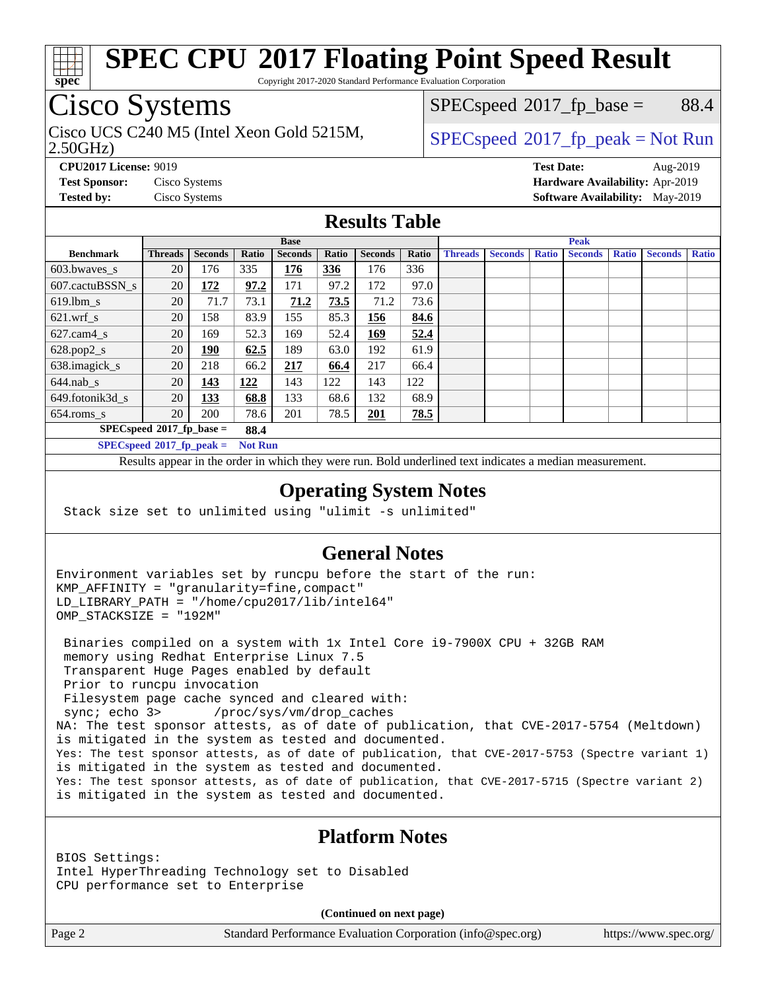

Copyright 2017-2020 Standard Performance Evaluation Corporation

# Cisco Systems

Cisco UCS C240 M5 (Intel Xeon Gold 5215M,  $SPECspeed^{\circ}2017\_fp\_peak = Not Run$  $SPECspeed^{\circ}2017\_fp\_peak = Not Run$ 

 $SPECspeed^{\circ}2017\_fp\_base =$  $SPECspeed^{\circ}2017\_fp\_base =$  88.4

2.50GHz)

**[CPU2017 License:](http://www.spec.org/auto/cpu2017/Docs/result-fields.html#CPU2017License)** 9019 **[Test Date:](http://www.spec.org/auto/cpu2017/Docs/result-fields.html#TestDate)** Aug-2019 **[Test Sponsor:](http://www.spec.org/auto/cpu2017/Docs/result-fields.html#TestSponsor)** Cisco Systems **[Hardware Availability:](http://www.spec.org/auto/cpu2017/Docs/result-fields.html#HardwareAvailability)** Apr-2019 **[Tested by:](http://www.spec.org/auto/cpu2017/Docs/result-fields.html#Testedby)** Cisco Systems **[Software Availability:](http://www.spec.org/auto/cpu2017/Docs/result-fields.html#SoftwareAvailability)** May-2019

## **[Results Table](http://www.spec.org/auto/cpu2017/Docs/result-fields.html#ResultsTable)**

|                                               | <b>Base</b>    |                |       |                | <b>Peak</b> |                |       |                |                |              |                |              |                |              |
|-----------------------------------------------|----------------|----------------|-------|----------------|-------------|----------------|-------|----------------|----------------|--------------|----------------|--------------|----------------|--------------|
| <b>Benchmark</b>                              | <b>Threads</b> | <b>Seconds</b> | Ratio | <b>Seconds</b> | Ratio       | <b>Seconds</b> | Ratio | <b>Threads</b> | <b>Seconds</b> | <b>Ratio</b> | <b>Seconds</b> | <b>Ratio</b> | <b>Seconds</b> | <b>Ratio</b> |
| 603.bwayes_s                                  | 20             | 176            | 335   | 176            | 336         | 176            | 336   |                |                |              |                |              |                |              |
| 607.cactuBSSN s                               | 20             | <u>172</u>     | 97.2  | 171            | 97.2        | 172            | 97.0  |                |                |              |                |              |                |              |
| $619.$ lbm s                                  | 20             | 71.7           | 73.1  | 71.2           | 73.5        | 71.2           | 73.6  |                |                |              |                |              |                |              |
| $621.wrf$ s                                   | 20             | 158            | 83.9  | 155            | 85.3        | 156            | 84.6  |                |                |              |                |              |                |              |
| $627$ .cam4 s                                 | 20             | 169            | 52.3  | 169            | 52.4        | 169            | 52.4  |                |                |              |                |              |                |              |
| $628.pop2_s$                                  | 20             | 190            | 62.5  | 189            | 63.0        | 192            | 61.9  |                |                |              |                |              |                |              |
| 638.imagick_s                                 | 20             | 218            | 66.2  | 217            | 66.4        | 217            | 66.4  |                |                |              |                |              |                |              |
| $644$ .nab s                                  | 20             | <u>143</u>     | 122   | 143            | 122         | 143            | 122   |                |                |              |                |              |                |              |
| 649.fotonik3d s                               | 20             | 133            | 68.8  | 133            | 68.6        | 132            | 68.9  |                |                |              |                |              |                |              |
| $654$ .roms s                                 | 20             | 200            | 78.6  | 201            | 78.5        | 201            | 78.5  |                |                |              |                |              |                |              |
| $SPECspeed*2017fp base =$<br>88.4             |                |                |       |                |             |                |       |                |                |              |                |              |                |              |
| $SPECspeed*2017_fp\_peak =$<br><b>Not Run</b> |                |                |       |                |             |                |       |                |                |              |                |              |                |              |

Results appear in the [order in which they were run.](http://www.spec.org/auto/cpu2017/Docs/result-fields.html#RunOrder) Bold underlined text [indicates a median measurement](http://www.spec.org/auto/cpu2017/Docs/result-fields.html#Median).

### **[Operating System Notes](http://www.spec.org/auto/cpu2017/Docs/result-fields.html#OperatingSystemNotes)**

Stack size set to unlimited using "ulimit -s unlimited"

### **[General Notes](http://www.spec.org/auto/cpu2017/Docs/result-fields.html#GeneralNotes)**

Environment variables set by runcpu before the start of the run: KMP\_AFFINITY = "granularity=fine,compact" LD\_LIBRARY\_PATH = "/home/cpu2017/lib/intel64" OMP\_STACKSIZE = "192M"

 Binaries compiled on a system with 1x Intel Core i9-7900X CPU + 32GB RAM memory using Redhat Enterprise Linux 7.5 Transparent Huge Pages enabled by default Prior to runcpu invocation Filesystem page cache synced and cleared with: sync; echo 3> /proc/sys/vm/drop\_caches NA: The test sponsor attests, as of date of publication, that CVE-2017-5754 (Meltdown) is mitigated in the system as tested and documented. Yes: The test sponsor attests, as of date of publication, that CVE-2017-5753 (Spectre variant 1) is mitigated in the system as tested and documented. Yes: The test sponsor attests, as of date of publication, that CVE-2017-5715 (Spectre variant 2) is mitigated in the system as tested and documented.

## **[Platform Notes](http://www.spec.org/auto/cpu2017/Docs/result-fields.html#PlatformNotes)**

BIOS Settings: Intel HyperThreading Technology set to Disabled CPU performance set to Enterprise

**(Continued on next page)**

Page 2 Standard Performance Evaluation Corporation [\(info@spec.org\)](mailto:info@spec.org) <https://www.spec.org/>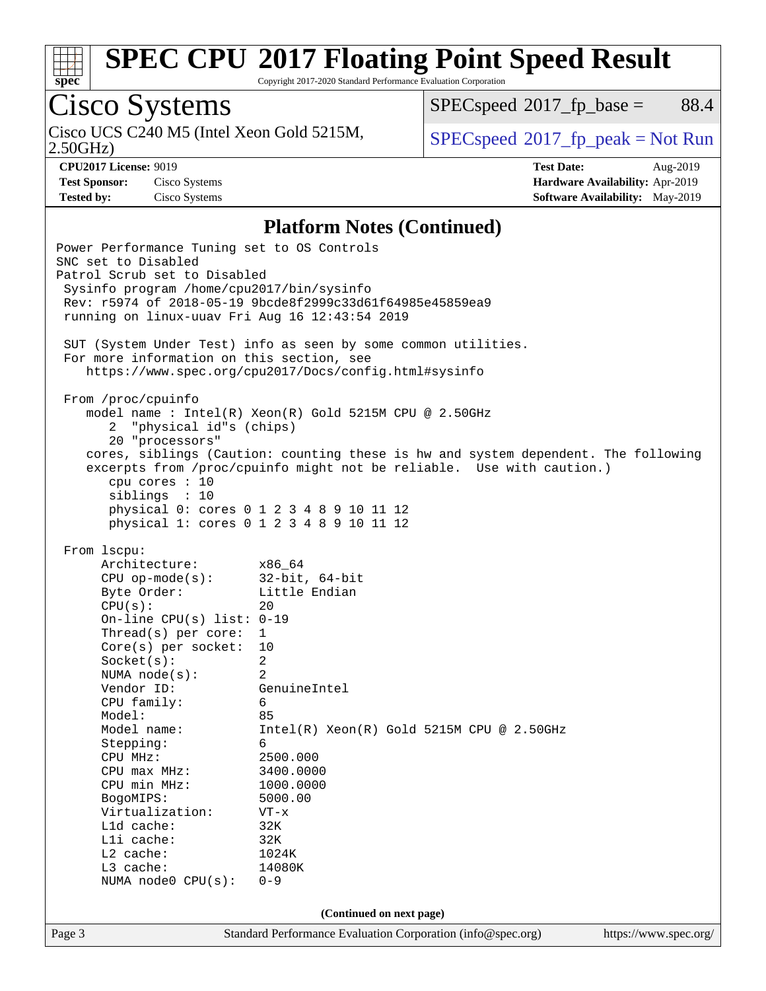

Copyright 2017-2020 Standard Performance Evaluation Corporation

# Cisco Systems

Cisco UCS C240 M5 (Intel Xeon Gold 5215M,  $SPECspeed^{\circ}2017\_fp\_peak = Not Run$  $SPECspeed^{\circ}2017\_fp\_peak = Not Run$ 

 $SPECspeed^{\circ}2017\_fp\_base =$  $SPECspeed^{\circ}2017\_fp\_base =$  88.4

2.50GHz)

**[Tested by:](http://www.spec.org/auto/cpu2017/Docs/result-fields.html#Testedby)** Cisco Systems **[Software Availability:](http://www.spec.org/auto/cpu2017/Docs/result-fields.html#SoftwareAvailability)** May-2019

**[CPU2017 License:](http://www.spec.org/auto/cpu2017/Docs/result-fields.html#CPU2017License)** 9019 **[Test Date:](http://www.spec.org/auto/cpu2017/Docs/result-fields.html#TestDate)** Aug-2019 **[Test Sponsor:](http://www.spec.org/auto/cpu2017/Docs/result-fields.html#TestSponsor)** Cisco Systems **[Hardware Availability:](http://www.spec.org/auto/cpu2017/Docs/result-fields.html#HardwareAvailability)** Apr-2019

### **[Platform Notes \(Continued\)](http://www.spec.org/auto/cpu2017/Docs/result-fields.html#PlatformNotes)**

Page 3 Standard Performance Evaluation Corporation [\(info@spec.org\)](mailto:info@spec.org) <https://www.spec.org/> Power Performance Tuning set to OS Controls SNC set to Disabled Patrol Scrub set to Disabled Sysinfo program /home/cpu2017/bin/sysinfo Rev: r5974 of 2018-05-19 9bcde8f2999c33d61f64985e45859ea9 running on linux-uuav Fri Aug 16 12:43:54 2019 SUT (System Under Test) info as seen by some common utilities. For more information on this section, see <https://www.spec.org/cpu2017/Docs/config.html#sysinfo> From /proc/cpuinfo model name : Intel(R) Xeon(R) Gold 5215M CPU @ 2.50GHz 2 "physical id"s (chips) 20 "processors" cores, siblings (Caution: counting these is hw and system dependent. The following excerpts from /proc/cpuinfo might not be reliable. Use with caution.) cpu cores : 10 siblings : 10 physical 0: cores 0 1 2 3 4 8 9 10 11 12 physical 1: cores 0 1 2 3 4 8 9 10 11 12 From lscpu: Architecture: x86\_64 CPU op-mode(s): 32-bit, 64-bit Byte Order: Little Endian  $CPU(s):$  20 On-line CPU(s) list: 0-19 Thread(s) per core: 1 Core(s) per socket: 10 Socket(s): 2 NUMA node(s): 2 Vendor ID: GenuineIntel CPU family: 6 Model: 85 Model name: Intel(R) Xeon(R) Gold 5215M CPU @ 2.50GHz Stepping: 6 CPU MHz: 2500.000 CPU max MHz: 3400.0000<br>CPU min MHz: 1000.0000  $CPU$  min  $MHz$ : BogoMIPS: 5000.00 Virtualization: VT-x L1d cache: 32K L1i cache: 32K L2 cache: 1024K L3 cache: 14080K NUMA node0 CPU(s): 0-9 **(Continued on next page)**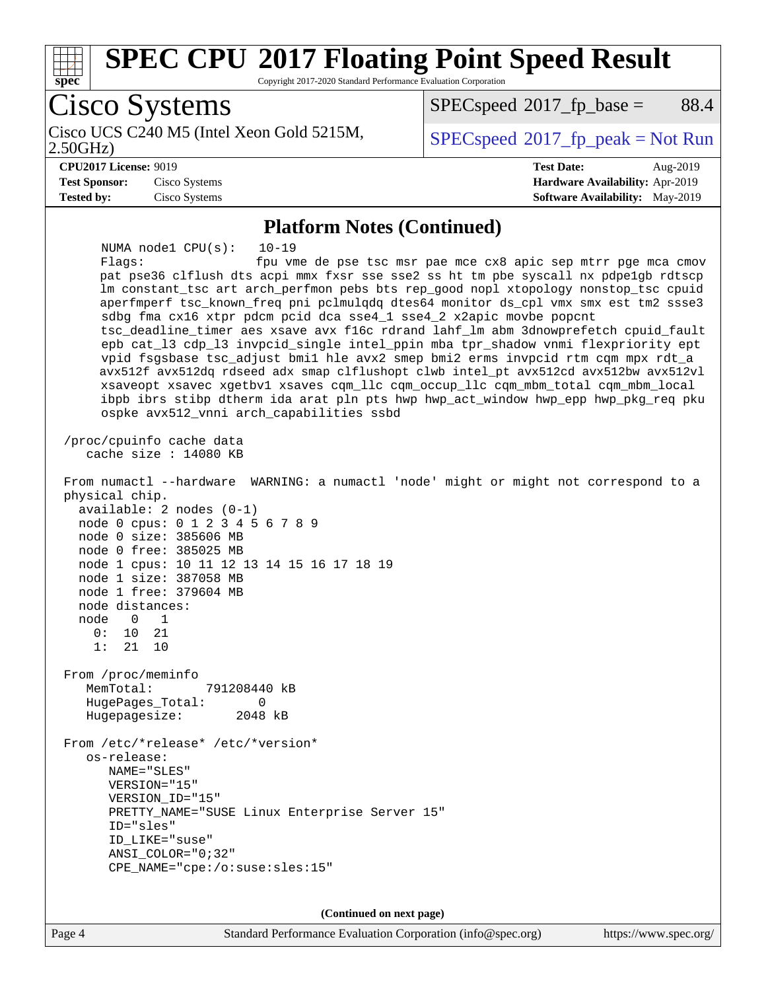

**(Continued on next page)**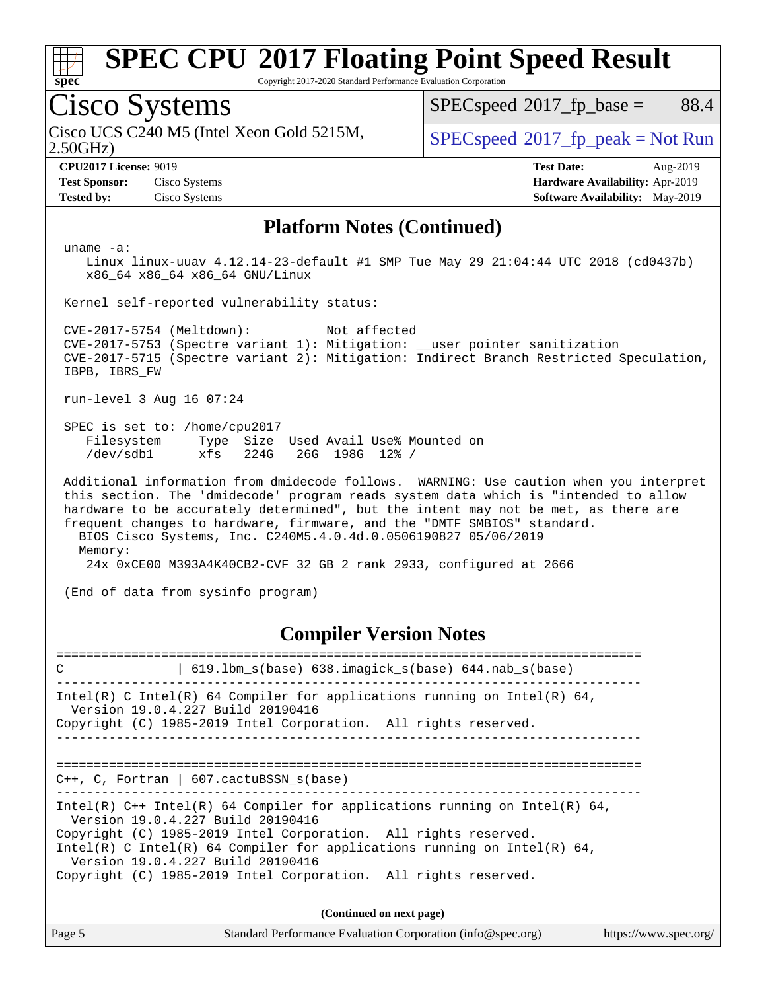

Copyright 2017-2020 Standard Performance Evaluation Corporation

## Cisco Systems

Cisco UCS C240 M5 (Intel Xeon Gold 5215M,  $SPECspeed^{\circ}2017\_fp\_peak = Not Run$  $SPECspeed^{\circ}2017\_fp\_peak = Not Run$ 

 $SPECspeed^{\circledcirc}2017_fp\_base = 88.4$  $SPECspeed^{\circledcirc}2017_fp\_base = 88.4$ 

2.50GHz)

**[Tested by:](http://www.spec.org/auto/cpu2017/Docs/result-fields.html#Testedby)** Cisco Systems **[Software Availability:](http://www.spec.org/auto/cpu2017/Docs/result-fields.html#SoftwareAvailability)** May-2019

**[CPU2017 License:](http://www.spec.org/auto/cpu2017/Docs/result-fields.html#CPU2017License)** 9019 **[Test Date:](http://www.spec.org/auto/cpu2017/Docs/result-fields.html#TestDate)** Aug-2019 **[Test Sponsor:](http://www.spec.org/auto/cpu2017/Docs/result-fields.html#TestSponsor)** Cisco Systems **[Hardware Availability:](http://www.spec.org/auto/cpu2017/Docs/result-fields.html#HardwareAvailability)** Apr-2019

### **[Platform Notes \(Continued\)](http://www.spec.org/auto/cpu2017/Docs/result-fields.html#PlatformNotes)**

uname -a:

 Linux linux-uuav 4.12.14-23-default #1 SMP Tue May 29 21:04:44 UTC 2018 (cd0437b) x86\_64 x86\_64 x86\_64 GNU/Linux

Kernel self-reported vulnerability status:

 CVE-2017-5754 (Meltdown): Not affected CVE-2017-5753 (Spectre variant 1): Mitigation: \_\_user pointer sanitization CVE-2017-5715 (Spectre variant 2): Mitigation: Indirect Branch Restricted Speculation, IBPB, IBRS\_FW

run-level 3 Aug 16 07:24

 SPEC is set to: /home/cpu2017 Filesystem Type Size Used Avail Use% Mounted on /dev/sdb1 xfs 224G 26G 198G 12% /

 Additional information from dmidecode follows. WARNING: Use caution when you interpret this section. The 'dmidecode' program reads system data which is "intended to allow hardware to be accurately determined", but the intent may not be met, as there are frequent changes to hardware, firmware, and the "DMTF SMBIOS" standard. BIOS Cisco Systems, Inc. C240M5.4.0.4d.0.0506190827 05/06/2019 Memory: 24x 0xCE00 M393A4K40CB2-CVF 32 GB 2 rank 2933, configured at 2666

(End of data from sysinfo program)

**[Compiler Version Notes](http://www.spec.org/auto/cpu2017/Docs/result-fields.html#CompilerVersionNotes)**

| 619.1bm s(base) 638.imagick s(base) 644.nab s(base)<br>$\mathcal{C}$                                                                                                                                                                                                                                                                                                     |
|--------------------------------------------------------------------------------------------------------------------------------------------------------------------------------------------------------------------------------------------------------------------------------------------------------------------------------------------------------------------------|
| Intel(R) C Intel(R) 64 Compiler for applications running on Intel(R) 64,<br>Version 19.0.4.227 Build 20190416<br>Copyright (C) 1985-2019 Intel Corporation. All rights reserved.                                                                                                                                                                                         |
| $C_{++}$ , C, Fortran   607.cactuBSSN s(base)                                                                                                                                                                                                                                                                                                                            |
| Intel(R) $C++$ Intel(R) 64 Compiler for applications running on Intel(R) 64,<br>Version 19.0.4.227 Build 20190416<br>Copyright (C) 1985-2019 Intel Corporation. All rights reserved.<br>Intel(R) C Intel(R) 64 Compiler for applications running on Intel(R) 64,<br>Version 19.0.4.227 Build 20190416<br>Copyright (C) 1985-2019 Intel Corporation. All rights reserved. |
|                                                                                                                                                                                                                                                                                                                                                                          |

**(Continued on next page)**

| Page 5 | Standard Performance Evaluation Corporation (info@spec.org) | https://www.spec.org/ |
|--------|-------------------------------------------------------------|-----------------------|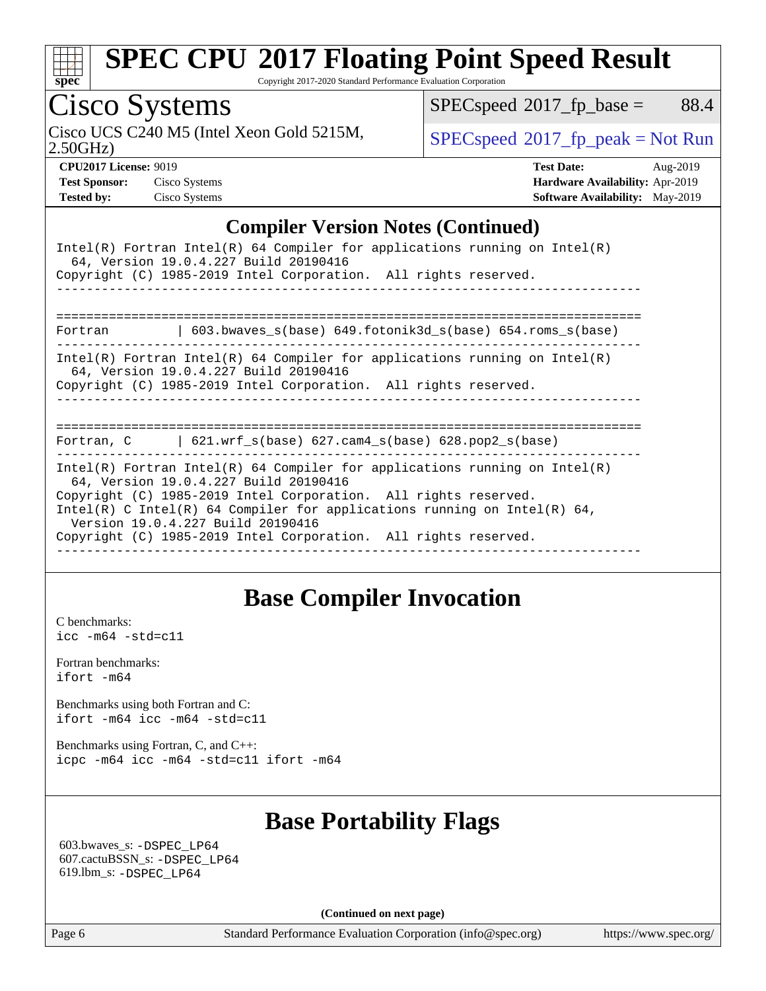

Copyright 2017-2020 Standard Performance Evaluation Corporation

# Cisco Systems

Cisco UCS C240 M5 (Intel Xeon Gold 5215M,  $SPECspeed^{\circ}2017\_fp\_peak = Not Run$  $SPECspeed^{\circ}2017\_fp\_peak = Not Run$ 

 $SPECspeed^{\circledcirc}2017_fp\_base = 88.4$  $SPECspeed^{\circledcirc}2017_fp\_base = 88.4$ 

2.50GHz)

| <b>Test Sponsor:</b> | Cisco System |
|----------------------|--------------|
| <b>Tested by:</b>    | Cisco System |

**[CPU2017 License:](http://www.spec.org/auto/cpu2017/Docs/result-fields.html#CPU2017License)** 9019 **[Test Date:](http://www.spec.org/auto/cpu2017/Docs/result-fields.html#TestDate)** Aug-2019 **[Test Sponsor:](http://www.spec.org/auto/cpu2017/Docs/result-fields.html#TestSponsor)** Cisco Systems **[Hardware Availability:](http://www.spec.org/auto/cpu2017/Docs/result-fields.html#HardwareAvailability)** Apr-2019 **[Tested by:](http://www.spec.org/auto/cpu2017/Docs/result-fields.html#Testedby)** Cisco Systems **[Software Availability:](http://www.spec.org/auto/cpu2017/Docs/result-fields.html#SoftwareAvailability)** May-2019

## **[Compiler Version Notes \(Continued\)](http://www.spec.org/auto/cpu2017/Docs/result-fields.html#CompilerVersionNotes)**

| Intel(R) Fortran Intel(R) 64 Compiler for applications running on Intel(R)<br>64, Version 19.0.4.227 Build 20190416<br>Copyright (C) 1985-2019 Intel Corporation. All rights reserved.                                                                                                                                                                                     |  |  |  |  |
|----------------------------------------------------------------------------------------------------------------------------------------------------------------------------------------------------------------------------------------------------------------------------------------------------------------------------------------------------------------------------|--|--|--|--|
|                                                                                                                                                                                                                                                                                                                                                                            |  |  |  |  |
| 603.bwaves $s(base)$ 649.fotonik3d $s(base)$ 654.roms $s(base)$<br>Fortran                                                                                                                                                                                                                                                                                                 |  |  |  |  |
| Intel(R) Fortran Intel(R) 64 Compiler for applications running on Intel(R)<br>64, Version 19.0.4.227 Build 20190416<br>Copyright (C) 1985-2019 Intel Corporation. All rights reserved.                                                                                                                                                                                     |  |  |  |  |
| ===========================                                                                                                                                                                                                                                                                                                                                                |  |  |  |  |
| Fortran, $C = \{621. \text{wrf s}(\text{base}) \}$ 627. cam4 s(base) 628. pop2 s(base)                                                                                                                                                                                                                                                                                     |  |  |  |  |
| Intel(R) Fortran Intel(R) 64 Compiler for applications running on Intel(R)<br>64, Version 19.0.4.227 Build 20190416<br>Copyright (C) 1985-2019 Intel Corporation. All rights reserved.<br>Intel(R) C Intel(R) 64 Compiler for applications running on Intel(R) 64,<br>Version 19.0.4.227 Build 20190416<br>Copyright (C) 1985-2019 Intel Corporation. All rights reserved. |  |  |  |  |

## **[Base Compiler Invocation](http://www.spec.org/auto/cpu2017/Docs/result-fields.html#BaseCompilerInvocation)**

[C benchmarks](http://www.spec.org/auto/cpu2017/Docs/result-fields.html#Cbenchmarks): [icc -m64 -std=c11](http://www.spec.org/cpu2017/results/res2019q3/cpu2017-20190819-16769.flags.html#user_CCbase_intel_icc_64bit_c11_33ee0cdaae7deeeab2a9725423ba97205ce30f63b9926c2519791662299b76a0318f32ddfffdc46587804de3178b4f9328c46fa7c2b0cd779d7a61945c91cd35)

[Fortran benchmarks](http://www.spec.org/auto/cpu2017/Docs/result-fields.html#Fortranbenchmarks): [ifort -m64](http://www.spec.org/cpu2017/results/res2019q3/cpu2017-20190819-16769.flags.html#user_FCbase_intel_ifort_64bit_24f2bb282fbaeffd6157abe4f878425411749daecae9a33200eee2bee2fe76f3b89351d69a8130dd5949958ce389cf37ff59a95e7a40d588e8d3a57e0c3fd751)

[Benchmarks using both Fortran and C](http://www.spec.org/auto/cpu2017/Docs/result-fields.html#BenchmarksusingbothFortranandC): [ifort -m64](http://www.spec.org/cpu2017/results/res2019q3/cpu2017-20190819-16769.flags.html#user_CC_FCbase_intel_ifort_64bit_24f2bb282fbaeffd6157abe4f878425411749daecae9a33200eee2bee2fe76f3b89351d69a8130dd5949958ce389cf37ff59a95e7a40d588e8d3a57e0c3fd751) [icc -m64 -std=c11](http://www.spec.org/cpu2017/results/res2019q3/cpu2017-20190819-16769.flags.html#user_CC_FCbase_intel_icc_64bit_c11_33ee0cdaae7deeeab2a9725423ba97205ce30f63b9926c2519791662299b76a0318f32ddfffdc46587804de3178b4f9328c46fa7c2b0cd779d7a61945c91cd35)

[Benchmarks using Fortran, C, and C++:](http://www.spec.org/auto/cpu2017/Docs/result-fields.html#BenchmarksusingFortranCandCXX) [icpc -m64](http://www.spec.org/cpu2017/results/res2019q3/cpu2017-20190819-16769.flags.html#user_CC_CXX_FCbase_intel_icpc_64bit_4ecb2543ae3f1412ef961e0650ca070fec7b7afdcd6ed48761b84423119d1bf6bdf5cad15b44d48e7256388bc77273b966e5eb805aefd121eb22e9299b2ec9d9) [icc -m64 -std=c11](http://www.spec.org/cpu2017/results/res2019q3/cpu2017-20190819-16769.flags.html#user_CC_CXX_FCbase_intel_icc_64bit_c11_33ee0cdaae7deeeab2a9725423ba97205ce30f63b9926c2519791662299b76a0318f32ddfffdc46587804de3178b4f9328c46fa7c2b0cd779d7a61945c91cd35) [ifort -m64](http://www.spec.org/cpu2017/results/res2019q3/cpu2017-20190819-16769.flags.html#user_CC_CXX_FCbase_intel_ifort_64bit_24f2bb282fbaeffd6157abe4f878425411749daecae9a33200eee2bee2fe76f3b89351d69a8130dd5949958ce389cf37ff59a95e7a40d588e8d3a57e0c3fd751)

## **[Base Portability Flags](http://www.spec.org/auto/cpu2017/Docs/result-fields.html#BasePortabilityFlags)**

 603.bwaves\_s: [-DSPEC\\_LP64](http://www.spec.org/cpu2017/results/res2019q3/cpu2017-20190819-16769.flags.html#suite_basePORTABILITY603_bwaves_s_DSPEC_LP64) 607.cactuBSSN\_s: [-DSPEC\\_LP64](http://www.spec.org/cpu2017/results/res2019q3/cpu2017-20190819-16769.flags.html#suite_basePORTABILITY607_cactuBSSN_s_DSPEC_LP64) 619.lbm\_s: [-DSPEC\\_LP64](http://www.spec.org/cpu2017/results/res2019q3/cpu2017-20190819-16769.flags.html#suite_basePORTABILITY619_lbm_s_DSPEC_LP64)

**(Continued on next page)**

Page 6 Standard Performance Evaluation Corporation [\(info@spec.org\)](mailto:info@spec.org) <https://www.spec.org/>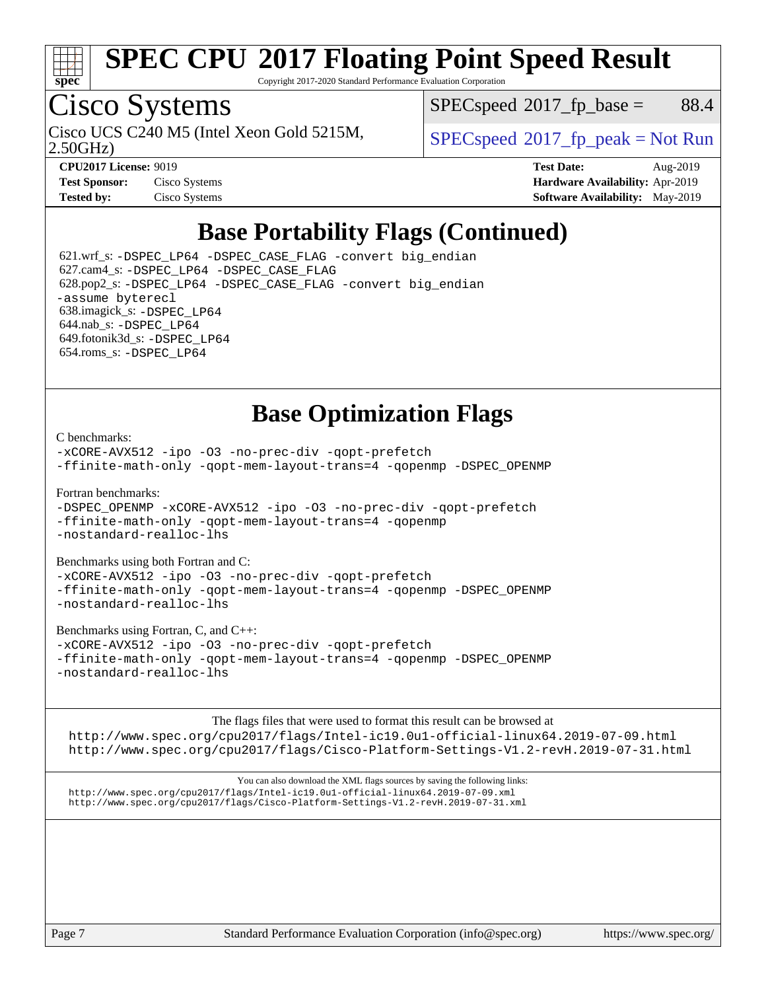

Copyright 2017-2020 Standard Performance Evaluation Corporation

## Cisco Systems

Cisco UCS C240 M5 (Intel Xeon Gold 5215M,  $SPECspeed^{\circ}2017\_fp\_peak = Not Run$  $SPECspeed^{\circ}2017\_fp\_peak = Not Run$ 

 $SPEC speed^{\circ}2017\_fp\_base =$  88.4

2.50GHz)

**[CPU2017 License:](http://www.spec.org/auto/cpu2017/Docs/result-fields.html#CPU2017License)** 9019 **[Test Date:](http://www.spec.org/auto/cpu2017/Docs/result-fields.html#TestDate)** Aug-2019 **[Test Sponsor:](http://www.spec.org/auto/cpu2017/Docs/result-fields.html#TestSponsor)** Cisco Systems **[Hardware Availability:](http://www.spec.org/auto/cpu2017/Docs/result-fields.html#HardwareAvailability)** Apr-2019 **[Tested by:](http://www.spec.org/auto/cpu2017/Docs/result-fields.html#Testedby)** Cisco Systems **[Software Availability:](http://www.spec.org/auto/cpu2017/Docs/result-fields.html#SoftwareAvailability)** May-2019

## **[Base Portability Flags \(Continued\)](http://www.spec.org/auto/cpu2017/Docs/result-fields.html#BasePortabilityFlags)**

 621.wrf\_s: [-DSPEC\\_LP64](http://www.spec.org/cpu2017/results/res2019q3/cpu2017-20190819-16769.flags.html#suite_basePORTABILITY621_wrf_s_DSPEC_LP64) [-DSPEC\\_CASE\\_FLAG](http://www.spec.org/cpu2017/results/res2019q3/cpu2017-20190819-16769.flags.html#b621.wrf_s_baseCPORTABILITY_DSPEC_CASE_FLAG) [-convert big\\_endian](http://www.spec.org/cpu2017/results/res2019q3/cpu2017-20190819-16769.flags.html#user_baseFPORTABILITY621_wrf_s_convert_big_endian_c3194028bc08c63ac5d04de18c48ce6d347e4e562e8892b8bdbdc0214820426deb8554edfa529a3fb25a586e65a3d812c835984020483e7e73212c4d31a38223) 627.cam4\_s: [-DSPEC\\_LP64](http://www.spec.org/cpu2017/results/res2019q3/cpu2017-20190819-16769.flags.html#suite_basePORTABILITY627_cam4_s_DSPEC_LP64) [-DSPEC\\_CASE\\_FLAG](http://www.spec.org/cpu2017/results/res2019q3/cpu2017-20190819-16769.flags.html#b627.cam4_s_baseCPORTABILITY_DSPEC_CASE_FLAG) 628.pop2\_s: [-DSPEC\\_LP64](http://www.spec.org/cpu2017/results/res2019q3/cpu2017-20190819-16769.flags.html#suite_basePORTABILITY628_pop2_s_DSPEC_LP64) [-DSPEC\\_CASE\\_FLAG](http://www.spec.org/cpu2017/results/res2019q3/cpu2017-20190819-16769.flags.html#b628.pop2_s_baseCPORTABILITY_DSPEC_CASE_FLAG) [-convert big\\_endian](http://www.spec.org/cpu2017/results/res2019q3/cpu2017-20190819-16769.flags.html#user_baseFPORTABILITY628_pop2_s_convert_big_endian_c3194028bc08c63ac5d04de18c48ce6d347e4e562e8892b8bdbdc0214820426deb8554edfa529a3fb25a586e65a3d812c835984020483e7e73212c4d31a38223) [-assume byterecl](http://www.spec.org/cpu2017/results/res2019q3/cpu2017-20190819-16769.flags.html#user_baseFPORTABILITY628_pop2_s_assume_byterecl_7e47d18b9513cf18525430bbf0f2177aa9bf368bc7a059c09b2c06a34b53bd3447c950d3f8d6c70e3faf3a05c8557d66a5798b567902e8849adc142926523472) 638.imagick\_s: [-DSPEC\\_LP64](http://www.spec.org/cpu2017/results/res2019q3/cpu2017-20190819-16769.flags.html#suite_basePORTABILITY638_imagick_s_DSPEC_LP64) 644.nab\_s: [-DSPEC\\_LP64](http://www.spec.org/cpu2017/results/res2019q3/cpu2017-20190819-16769.flags.html#suite_basePORTABILITY644_nab_s_DSPEC_LP64) 649.fotonik3d\_s: [-DSPEC\\_LP64](http://www.spec.org/cpu2017/results/res2019q3/cpu2017-20190819-16769.flags.html#suite_basePORTABILITY649_fotonik3d_s_DSPEC_LP64) 654.roms\_s: [-DSPEC\\_LP64](http://www.spec.org/cpu2017/results/res2019q3/cpu2017-20190819-16769.flags.html#suite_basePORTABILITY654_roms_s_DSPEC_LP64)

## **[Base Optimization Flags](http://www.spec.org/auto/cpu2017/Docs/result-fields.html#BaseOptimizationFlags)**

[C benchmarks](http://www.spec.org/auto/cpu2017/Docs/result-fields.html#Cbenchmarks):

[-xCORE-AVX512](http://www.spec.org/cpu2017/results/res2019q3/cpu2017-20190819-16769.flags.html#user_CCbase_f-xCORE-AVX512) [-ipo](http://www.spec.org/cpu2017/results/res2019q3/cpu2017-20190819-16769.flags.html#user_CCbase_f-ipo) [-O3](http://www.spec.org/cpu2017/results/res2019q3/cpu2017-20190819-16769.flags.html#user_CCbase_f-O3) [-no-prec-div](http://www.spec.org/cpu2017/results/res2019q3/cpu2017-20190819-16769.flags.html#user_CCbase_f-no-prec-div) [-qopt-prefetch](http://www.spec.org/cpu2017/results/res2019q3/cpu2017-20190819-16769.flags.html#user_CCbase_f-qopt-prefetch) [-ffinite-math-only](http://www.spec.org/cpu2017/results/res2019q3/cpu2017-20190819-16769.flags.html#user_CCbase_f_finite_math_only_cb91587bd2077682c4b38af759c288ed7c732db004271a9512da14a4f8007909a5f1427ecbf1a0fb78ff2a814402c6114ac565ca162485bbcae155b5e4258871) [-qopt-mem-layout-trans=4](http://www.spec.org/cpu2017/results/res2019q3/cpu2017-20190819-16769.flags.html#user_CCbase_f-qopt-mem-layout-trans_fa39e755916c150a61361b7846f310bcdf6f04e385ef281cadf3647acec3f0ae266d1a1d22d972a7087a248fd4e6ca390a3634700869573d231a252c784941a8) [-qopenmp](http://www.spec.org/cpu2017/results/res2019q3/cpu2017-20190819-16769.flags.html#user_CCbase_qopenmp_16be0c44f24f464004c6784a7acb94aca937f053568ce72f94b139a11c7c168634a55f6653758ddd83bcf7b8463e8028bb0b48b77bcddc6b78d5d95bb1df2967) [-DSPEC\\_OPENMP](http://www.spec.org/cpu2017/results/res2019q3/cpu2017-20190819-16769.flags.html#suite_CCbase_DSPEC_OPENMP)

[Fortran benchmarks](http://www.spec.org/auto/cpu2017/Docs/result-fields.html#Fortranbenchmarks):

[-DSPEC\\_OPENMP](http://www.spec.org/cpu2017/results/res2019q3/cpu2017-20190819-16769.flags.html#suite_FCbase_DSPEC_OPENMP) [-xCORE-AVX512](http://www.spec.org/cpu2017/results/res2019q3/cpu2017-20190819-16769.flags.html#user_FCbase_f-xCORE-AVX512) [-ipo](http://www.spec.org/cpu2017/results/res2019q3/cpu2017-20190819-16769.flags.html#user_FCbase_f-ipo) [-O3](http://www.spec.org/cpu2017/results/res2019q3/cpu2017-20190819-16769.flags.html#user_FCbase_f-O3) [-no-prec-div](http://www.spec.org/cpu2017/results/res2019q3/cpu2017-20190819-16769.flags.html#user_FCbase_f-no-prec-div) [-qopt-prefetch](http://www.spec.org/cpu2017/results/res2019q3/cpu2017-20190819-16769.flags.html#user_FCbase_f-qopt-prefetch) [-ffinite-math-only](http://www.spec.org/cpu2017/results/res2019q3/cpu2017-20190819-16769.flags.html#user_FCbase_f_finite_math_only_cb91587bd2077682c4b38af759c288ed7c732db004271a9512da14a4f8007909a5f1427ecbf1a0fb78ff2a814402c6114ac565ca162485bbcae155b5e4258871) [-qopt-mem-layout-trans=4](http://www.spec.org/cpu2017/results/res2019q3/cpu2017-20190819-16769.flags.html#user_FCbase_f-qopt-mem-layout-trans_fa39e755916c150a61361b7846f310bcdf6f04e385ef281cadf3647acec3f0ae266d1a1d22d972a7087a248fd4e6ca390a3634700869573d231a252c784941a8) [-qopenmp](http://www.spec.org/cpu2017/results/res2019q3/cpu2017-20190819-16769.flags.html#user_FCbase_qopenmp_16be0c44f24f464004c6784a7acb94aca937f053568ce72f94b139a11c7c168634a55f6653758ddd83bcf7b8463e8028bb0b48b77bcddc6b78d5d95bb1df2967) [-nostandard-realloc-lhs](http://www.spec.org/cpu2017/results/res2019q3/cpu2017-20190819-16769.flags.html#user_FCbase_f_2003_std_realloc_82b4557e90729c0f113870c07e44d33d6f5a304b4f63d4c15d2d0f1fab99f5daaed73bdb9275d9ae411527f28b936061aa8b9c8f2d63842963b95c9dd6426b8a)

[Benchmarks using both Fortran and C](http://www.spec.org/auto/cpu2017/Docs/result-fields.html#BenchmarksusingbothFortranandC):

[-xCORE-AVX512](http://www.spec.org/cpu2017/results/res2019q3/cpu2017-20190819-16769.flags.html#user_CC_FCbase_f-xCORE-AVX512) [-ipo](http://www.spec.org/cpu2017/results/res2019q3/cpu2017-20190819-16769.flags.html#user_CC_FCbase_f-ipo) [-O3](http://www.spec.org/cpu2017/results/res2019q3/cpu2017-20190819-16769.flags.html#user_CC_FCbase_f-O3) [-no-prec-div](http://www.spec.org/cpu2017/results/res2019q3/cpu2017-20190819-16769.flags.html#user_CC_FCbase_f-no-prec-div) [-qopt-prefetch](http://www.spec.org/cpu2017/results/res2019q3/cpu2017-20190819-16769.flags.html#user_CC_FCbase_f-qopt-prefetch) [-ffinite-math-only](http://www.spec.org/cpu2017/results/res2019q3/cpu2017-20190819-16769.flags.html#user_CC_FCbase_f_finite_math_only_cb91587bd2077682c4b38af759c288ed7c732db004271a9512da14a4f8007909a5f1427ecbf1a0fb78ff2a814402c6114ac565ca162485bbcae155b5e4258871) [-qopt-mem-layout-trans=4](http://www.spec.org/cpu2017/results/res2019q3/cpu2017-20190819-16769.flags.html#user_CC_FCbase_f-qopt-mem-layout-trans_fa39e755916c150a61361b7846f310bcdf6f04e385ef281cadf3647acec3f0ae266d1a1d22d972a7087a248fd4e6ca390a3634700869573d231a252c784941a8) [-qopenmp](http://www.spec.org/cpu2017/results/res2019q3/cpu2017-20190819-16769.flags.html#user_CC_FCbase_qopenmp_16be0c44f24f464004c6784a7acb94aca937f053568ce72f94b139a11c7c168634a55f6653758ddd83bcf7b8463e8028bb0b48b77bcddc6b78d5d95bb1df2967) [-DSPEC\\_OPENMP](http://www.spec.org/cpu2017/results/res2019q3/cpu2017-20190819-16769.flags.html#suite_CC_FCbase_DSPEC_OPENMP) [-nostandard-realloc-lhs](http://www.spec.org/cpu2017/results/res2019q3/cpu2017-20190819-16769.flags.html#user_CC_FCbase_f_2003_std_realloc_82b4557e90729c0f113870c07e44d33d6f5a304b4f63d4c15d2d0f1fab99f5daaed73bdb9275d9ae411527f28b936061aa8b9c8f2d63842963b95c9dd6426b8a)

[Benchmarks using Fortran, C, and C++:](http://www.spec.org/auto/cpu2017/Docs/result-fields.html#BenchmarksusingFortranCandCXX)

[-xCORE-AVX512](http://www.spec.org/cpu2017/results/res2019q3/cpu2017-20190819-16769.flags.html#user_CC_CXX_FCbase_f-xCORE-AVX512) [-ipo](http://www.spec.org/cpu2017/results/res2019q3/cpu2017-20190819-16769.flags.html#user_CC_CXX_FCbase_f-ipo) [-O3](http://www.spec.org/cpu2017/results/res2019q3/cpu2017-20190819-16769.flags.html#user_CC_CXX_FCbase_f-O3) [-no-prec-div](http://www.spec.org/cpu2017/results/res2019q3/cpu2017-20190819-16769.flags.html#user_CC_CXX_FCbase_f-no-prec-div) [-qopt-prefetch](http://www.spec.org/cpu2017/results/res2019q3/cpu2017-20190819-16769.flags.html#user_CC_CXX_FCbase_f-qopt-prefetch) [-ffinite-math-only](http://www.spec.org/cpu2017/results/res2019q3/cpu2017-20190819-16769.flags.html#user_CC_CXX_FCbase_f_finite_math_only_cb91587bd2077682c4b38af759c288ed7c732db004271a9512da14a4f8007909a5f1427ecbf1a0fb78ff2a814402c6114ac565ca162485bbcae155b5e4258871) [-qopt-mem-layout-trans=4](http://www.spec.org/cpu2017/results/res2019q3/cpu2017-20190819-16769.flags.html#user_CC_CXX_FCbase_f-qopt-mem-layout-trans_fa39e755916c150a61361b7846f310bcdf6f04e385ef281cadf3647acec3f0ae266d1a1d22d972a7087a248fd4e6ca390a3634700869573d231a252c784941a8) [-qopenmp](http://www.spec.org/cpu2017/results/res2019q3/cpu2017-20190819-16769.flags.html#user_CC_CXX_FCbase_qopenmp_16be0c44f24f464004c6784a7acb94aca937f053568ce72f94b139a11c7c168634a55f6653758ddd83bcf7b8463e8028bb0b48b77bcddc6b78d5d95bb1df2967) [-DSPEC\\_OPENMP](http://www.spec.org/cpu2017/results/res2019q3/cpu2017-20190819-16769.flags.html#suite_CC_CXX_FCbase_DSPEC_OPENMP) [-nostandard-realloc-lhs](http://www.spec.org/cpu2017/results/res2019q3/cpu2017-20190819-16769.flags.html#user_CC_CXX_FCbase_f_2003_std_realloc_82b4557e90729c0f113870c07e44d33d6f5a304b4f63d4c15d2d0f1fab99f5daaed73bdb9275d9ae411527f28b936061aa8b9c8f2d63842963b95c9dd6426b8a)

[The flags files that were used to format this result can be browsed at](tmsearch)

<http://www.spec.org/cpu2017/flags/Intel-ic19.0u1-official-linux64.2019-07-09.html> <http://www.spec.org/cpu2017/flags/Cisco-Platform-Settings-V1.2-revH.2019-07-31.html>

[You can also download the XML flags sources by saving the following links:](tmsearch) <http://www.spec.org/cpu2017/flags/Intel-ic19.0u1-official-linux64.2019-07-09.xml> <http://www.spec.org/cpu2017/flags/Cisco-Platform-Settings-V1.2-revH.2019-07-31.xml>